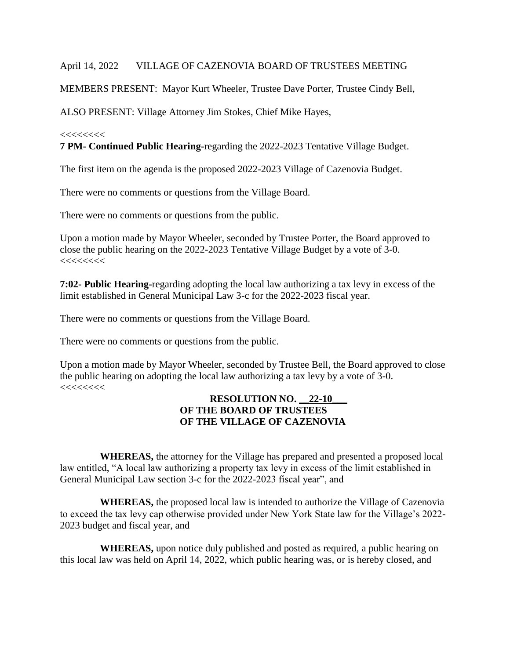## April 14, 2022 VILLAGE OF CAZENOVIA BOARD OF TRUSTEES MEETING

MEMBERS PRESENT: Mayor Kurt Wheeler, Trustee Dave Porter, Trustee Cindy Bell,

ALSO PRESENT: Village Attorney Jim Stokes, Chief Mike Hayes,

### $<<<<<<$

**7 PM- Continued Public Hearing-**regarding the 2022-2023 Tentative Village Budget.

The first item on the agenda is the proposed 2022-2023 Village of Cazenovia Budget.

There were no comments or questions from the Village Board.

There were no comments or questions from the public.

Upon a motion made by Mayor Wheeler, seconded by Trustee Porter, the Board approved to close the public hearing on the 2022-2023 Tentative Village Budget by a vote of 3-0. <<<<<<<<

**7:02- Public Hearing-**regarding adopting the local law authorizing a tax levy in excess of the limit established in General Municipal Law 3-c for the 2022-2023 fiscal year.

There were no comments or questions from the Village Board.

There were no comments or questions from the public.

Upon a motion made by Mayor Wheeler, seconded by Trustee Bell, the Board approved to close the public hearing on adopting the local law authorizing a tax levy by a vote of 3-0.  $<<<<<<$ 

### **RESOLUTION NO. \_\_22-10\_\_\_ OF THE BOARD OF TRUSTEES OF THE VILLAGE OF CAZENOVIA**

 **WHEREAS,** the attorney for the Village has prepared and presented a proposed local law entitled, "A local law authorizing a property tax levy in excess of the limit established in General Municipal Law section 3-c for the 2022-2023 fiscal year", and

 **WHEREAS,** the proposed local law is intended to authorize the Village of Cazenovia to exceed the tax levy cap otherwise provided under New York State law for the Village's 2022- 2023 budget and fiscal year, and

 **WHEREAS,** upon notice duly published and posted as required, a public hearing on this local law was held on April 14, 2022, which public hearing was, or is hereby closed, and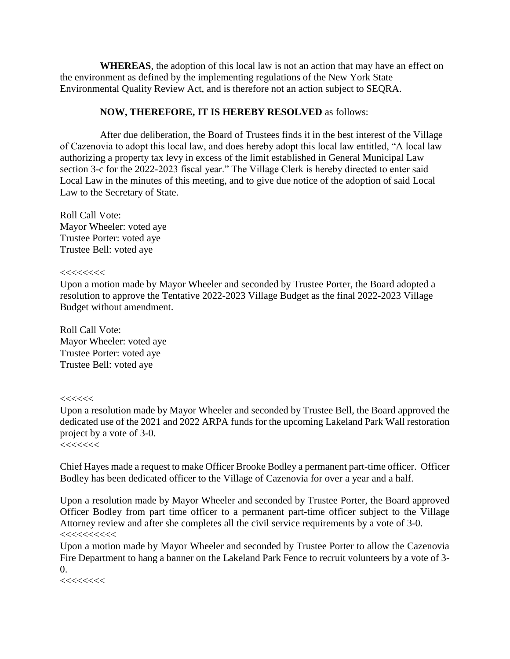**WHEREAS**, the adoption of this local law is not an action that may have an effect on the environment as defined by the implementing regulations of the New York State Environmental Quality Review Act, and is therefore not an action subject to SEQRA.

# **NOW, THEREFORE, IT IS HEREBY RESOLVED** as follows:

 After due deliberation, the Board of Trustees finds it in the best interest of the Village of Cazenovia to adopt this local law, and does hereby adopt this local law entitled, "A local law authorizing a property tax levy in excess of the limit established in General Municipal Law section 3-c for the 2022-2023 fiscal year." The Village Clerk is hereby directed to enter said Local Law in the minutes of this meeting, and to give due notice of the adoption of said Local Law to the Secretary of State.

Roll Call Vote: Mayor Wheeler: voted aye Trustee Porter: voted aye Trustee Bell: voted aye

#### <<<<<<<<

Upon a motion made by Mayor Wheeler and seconded by Trustee Porter, the Board adopted a resolution to approve the Tentative 2022-2023 Village Budget as the final 2022-2023 Village Budget without amendment.

Roll Call Vote: Mayor Wheeler: voted aye Trustee Porter: voted aye Trustee Bell: voted aye

#### $<<<<<<$

Upon a resolution made by Mayor Wheeler and seconded by Trustee Bell, the Board approved the dedicated use of the 2021 and 2022 ARPA funds for the upcoming Lakeland Park Wall restoration project by a vote of 3-0.

 $<<<<<<$ 

Chief Hayes made a request to make Officer Brooke Bodley a permanent part-time officer. Officer Bodley has been dedicated officer to the Village of Cazenovia for over a year and a half.

Upon a resolution made by Mayor Wheeler and seconded by Trustee Porter, the Board approved Officer Bodley from part time officer to a permanent part-time officer subject to the Village Attorney review and after she completes all the civil service requirements by a vote of 3-0.  $<<<<<<<<$ 

Upon a motion made by Mayor Wheeler and seconded by Trustee Porter to allow the Cazenovia Fire Department to hang a banner on the Lakeland Park Fence to recruit volunteers by a vote of 3-  $\Omega$ .

 $<<<<<<$